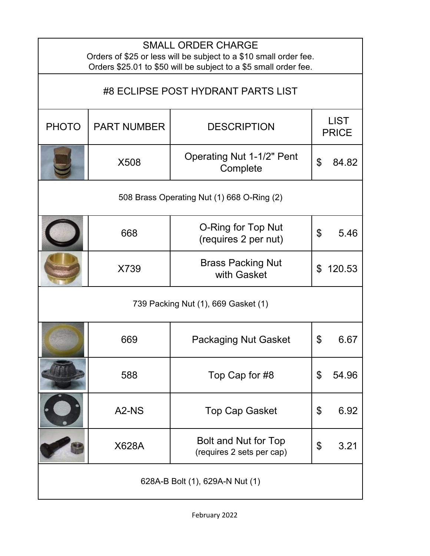| <b>SMALL ORDER CHARGE</b><br>Orders of \$25 or less will be subject to a \$10 small order fee.<br>Orders \$25.01 to \$50 will be subject to a \$5 small order fee. |                                |                                                   |                             |        |
|--------------------------------------------------------------------------------------------------------------------------------------------------------------------|--------------------------------|---------------------------------------------------|-----------------------------|--------|
| #8 ECLIPSE POST HYDRANT PARTS LIST                                                                                                                                 |                                |                                                   |                             |        |
| <b>PHOTO</b>                                                                                                                                                       | <b>PART NUMBER</b>             | <b>DESCRIPTION</b>                                | <b>LIST</b><br><b>PRICE</b> |        |
|                                                                                                                                                                    | X508                           | <b>Operating Nut 1-1/2" Pent</b><br>Complete      | $\mathfrak{L}$              | 84.82  |
| 508 Brass Operating Nut (1) 668 O-Ring (2)                                                                                                                         |                                |                                                   |                             |        |
|                                                                                                                                                                    | 668                            | O-Ring for Top Nut<br>(requires 2 per nut)        | $\mathfrak{L}$              | 5.46   |
|                                                                                                                                                                    | X739                           | <b>Brass Packing Nut</b><br>with Gasket           | \$                          | 120.53 |
| 739 Packing Nut (1), 669 Gasket (1)                                                                                                                                |                                |                                                   |                             |        |
|                                                                                                                                                                    | 669                            | <b>Packaging Nut Gasket</b>                       | \$                          | 6.67   |
|                                                                                                                                                                    | 588                            | Top Cap for #8                                    | \$                          | 54.96  |
|                                                                                                                                                                    | A <sub>2</sub> -N <sub>S</sub> | <b>Top Cap Gasket</b>                             | \$                          | 6.92   |
|                                                                                                                                                                    | X628A                          | Bolt and Nut for Top<br>(requires 2 sets per cap) | \$                          | 3.21   |
| 628A-B Bolt (1), 629A-N Nut (1)                                                                                                                                    |                                |                                                   |                             |        |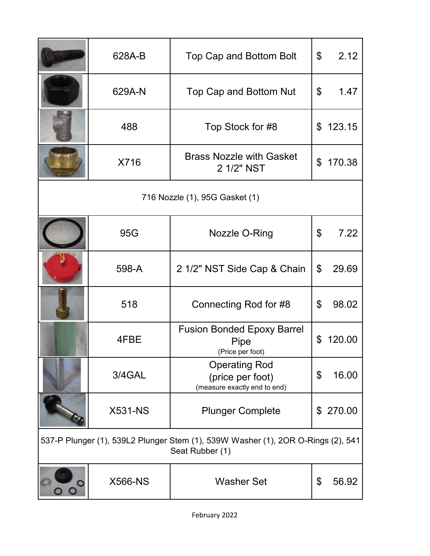|                                                                                                     | 628A-B         | Top Cap and Bottom Bolt                                                  | \$ | 2.12     |
|-----------------------------------------------------------------------------------------------------|----------------|--------------------------------------------------------------------------|----|----------|
|                                                                                                     | 629A-N         | Top Cap and Bottom Nut                                                   | \$ | 1.47     |
|                                                                                                     | 488            | Top Stock for #8                                                         |    | \$123.15 |
|                                                                                                     | X716           | <b>Brass Nozzle with Gasket</b><br>2 1/2" NST                            |    | \$170.38 |
| 716 Nozzle (1), 95G Gasket (1)                                                                      |                |                                                                          |    |          |
|                                                                                                     | 95G            | Nozzle O-Ring                                                            | \$ | 7.22     |
|                                                                                                     | 598-A          | 2 1/2" NST Side Cap & Chain                                              | \$ | 29.69    |
|                                                                                                     | 518            | Connecting Rod for #8                                                    | \$ | 98.02    |
|                                                                                                     | 4FBE           | <b>Fusion Bonded Epoxy Barrel</b><br>Pipe<br>(Price per foot)            | \$ | 120.00   |
|                                                                                                     | 3/4GAL         | <b>Operating Rod</b><br>(price per foot)<br>(measure exactly end to end) | \$ | 16.00    |
|                                                                                                     | <b>X531-NS</b> | <b>Plunger Complete</b>                                                  |    | \$270.00 |
| 537-P Plunger (1), 539L2 Plunger Stem (1), 539W Washer (1), 2OR O-Rings (2), 541<br>Seat Rubber (1) |                |                                                                          |    |          |
|                                                                                                     | <b>X566-NS</b> | <b>Washer Set</b>                                                        | \$ | 56.92    |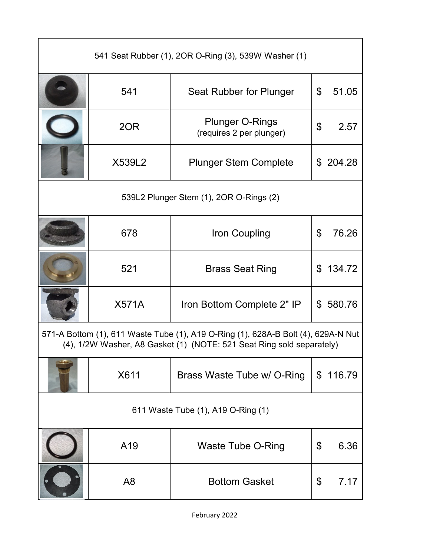| 541 Seat Rubber (1), 2OR O-Ring (3), 539W Washer (1)                                                                                                       |                |                                                    |    |          |
|------------------------------------------------------------------------------------------------------------------------------------------------------------|----------------|----------------------------------------------------|----|----------|
|                                                                                                                                                            | 541            | Seat Rubber for Plunger                            | \$ | 51.05    |
|                                                                                                                                                            | 2OR            | <b>Plunger O-Rings</b><br>(requires 2 per plunger) | \$ | 2.57     |
|                                                                                                                                                            | X539L2         | <b>Plunger Stem Complete</b>                       |    | \$204.28 |
| 539L2 Plunger Stem (1), 2OR O-Rings (2)                                                                                                                    |                |                                                    |    |          |
|                                                                                                                                                            | 678            | Iron Coupling                                      | \$ | 76.26    |
|                                                                                                                                                            | 521            | <b>Brass Seat Ring</b>                             | \$ | 134.72   |
|                                                                                                                                                            | <b>X571A</b>   | Iron Bottom Complete 2" IP                         |    | \$580.76 |
| 571-A Bottom (1), 611 Waste Tube (1), A19 O-Ring (1), 628A-B Bolt (4), 629A-N Nut<br>(4), 1/2W Washer, A8 Gasket (1) (NOTE: 521 Seat Ring sold separately) |                |                                                    |    |          |
|                                                                                                                                                            | X611           | Brass Waste Tube w/ O-Ring                         |    | \$116.79 |
| 611 Waste Tube (1), A19 O-Ring (1)                                                                                                                         |                |                                                    |    |          |
|                                                                                                                                                            | A19            | <b>Waste Tube O-Ring</b>                           | \$ | 6.36     |
|                                                                                                                                                            | A <sub>8</sub> | <b>Bottom Gasket</b>                               | \$ | 7.17     |